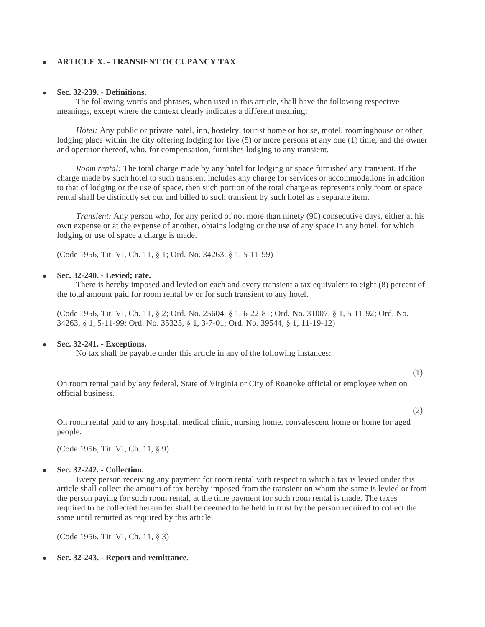# **ARTICLE X. - TRANSIENT OCCUPANCY TAX**

## **Sec. 32-239. - Definitions.**

The following words and phrases, when used in this article, shall have the following respective meanings, except where the context clearly indicates a different meaning:

*Hotel:* Any public or private hotel, inn, hostelry, tourist home or house, motel, roominghouse or other lodging place within the city offering lodging for five (5) or more persons at any one (1) time, and the owner and operator thereof, who, for compensation, furnishes lodging to any transient.

*Room rental:* The total charge made by any hotel for lodging or space furnished any transient. If the charge made by such hotel to such transient includes any charge for services or accommodations in addition to that of lodging or the use of space, then such portion of the total charge as represents only room or space rental shall be distinctly set out and billed to such transient by such hotel as a separate item.

*Transient:* Any person who, for any period of not more than ninety (90) consecutive days, either at his own expense or at the expense of another, obtains lodging or the use of any space in any hotel, for which lodging or use of space a charge is made.

(Code 1956, Tit. VI, Ch. 11, § 1; Ord. No. 34263, § 1, 5-11-99)

# **Sec. 32-240. - Levied; rate.**

There is hereby imposed and levied on each and every transient a tax equivalent to eight (8) percent of the total amount paid for room rental by or for such transient to any hotel.

(Code 1956, Tit. VI, Ch. 11, § 2; Ord. No. 25604, § 1, 6-22-81; Ord. No. 31007, § 1, 5-11-92; Ord. No. 34263, § 1, 5-11-99; Ord. No. 35325, § 1, 3-7-01; Ord. No. 39544, § 1, 11-19-12)

### **Sec. 32-241. - Exceptions.**

No tax shall be payable under this article in any of the following instances:

(1)

On room rental paid by any federal, State of Virginia or City of Roanoke official or employee when on official business.

(2)

On room rental paid to any hospital, medical clinic, nursing home, convalescent home or home for aged people.

(Code 1956, Tit. VI, Ch. 11, § 9)

# **Sec. 32-242. - Collection.**

Every person receiving any payment for room rental with respect to which a tax is levied under this article shall collect the amount of tax hereby imposed from the transient on whom the same is levied or from the person paying for such room rental, at the time payment for such room rental is made. The taxes required to be collected hereunder shall be deemed to be held in trust by the person required to collect the same until remitted as required by this article.

(Code 1956, Tit. VI, Ch. 11, § 3)

**Sec. 32-243. - Report and remittance.**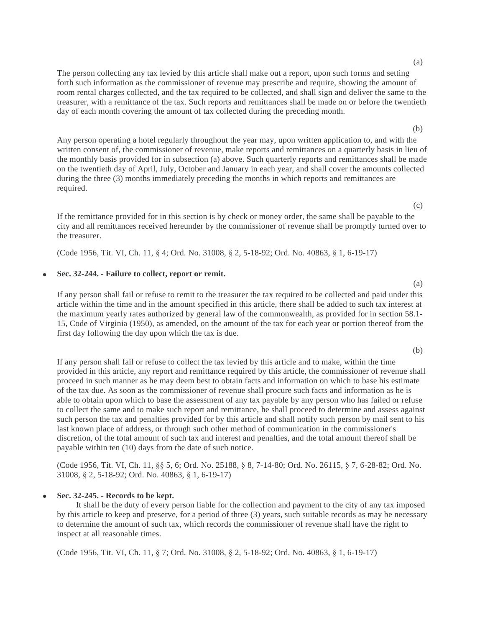(a)

The person collecting any tax levied by this article shall make out a report, upon such forms and setting forth such information as the commissioner of revenue may prescribe and require, showing the amount of room rental charges collected, and the tax required to be collected, and shall sign and deliver the same to the treasurer, with a remittance of the tax. Such reports and remittances shall be made on or before the twentieth day of each month covering the amount of tax collected during the preceding month.

Any person operating a hotel regularly throughout the year may, upon written application to, and with the written consent of, the commissioner of revenue, make reports and remittances on a quarterly basis in lieu of the monthly basis provided for in subsection (a) above. Such quarterly reports and remittances shall be made on the twentieth day of April, July, October and January in each year, and shall cover the amounts collected during the three (3) months immediately preceding the months in which reports and remittances are required.

If the remittance provided for in this section is by check or money order, the same shall be payable to the city and all remittances received hereunder by the commissioner of revenue shall be promptly turned over to the treasurer.

(Code 1956, Tit. VI, Ch. 11, § 4; Ord. No. 31008, § 2, 5-18-92; Ord. No. 40863, § 1, 6-19-17)

### **Sec. 32-244. - Failure to collect, report or remit.**

If any person shall fail or refuse to remit to the treasurer the tax required to be collected and paid under this article within the time and in the amount specified in this article, there shall be added to such tax interest at the maximum yearly rates authorized by general law of the commonwealth, as provided for in section 58.1- 15, Code of Virginia (1950), as amended, on the amount of the tax for each year or portion thereof from the first day following the day upon which the tax is due.

If any person shall fail or refuse to collect the tax levied by this article and to make, within the time provided in this article, any report and remittance required by this article, the commissioner of revenue shall proceed in such manner as he may deem best to obtain facts and information on which to base his estimate of the tax due. As soon as the commissioner of revenue shall procure such facts and information as he is able to obtain upon which to base the assessment of any tax payable by any person who has failed or refuse to collect the same and to make such report and remittance, he shall proceed to determine and assess against such person the tax and penalties provided for by this article and shall notify such person by mail sent to his last known place of address, or through such other method of communication in the commissioner's discretion, of the total amount of such tax and interest and penalties, and the total amount thereof shall be payable within ten (10) days from the date of such notice.

(Code 1956, Tit. VI, Ch. 11, §§ 5, 6; Ord. No. 25188, § 8, 7-14-80; Ord. No. 26115, § 7, 6-28-82; Ord. No. 31008, § 2, 5-18-92; Ord. No. 40863, § 1, 6-19-17)

#### **Sec. 32-245. - Records to be kept.**

It shall be the duty of every person liable for the collection and payment to the city of any tax imposed by this article to keep and preserve, for a period of three (3) years, such suitable records as may be necessary to determine the amount of such tax, which records the commissioner of revenue shall have the right to inspect at all reasonable times.

(Code 1956, Tit. VI, Ch. 11, § 7; Ord. No. 31008, § 2, 5-18-92; Ord. No. 40863, § 1, 6-19-17)

(c)

(b)

(a)

(b)